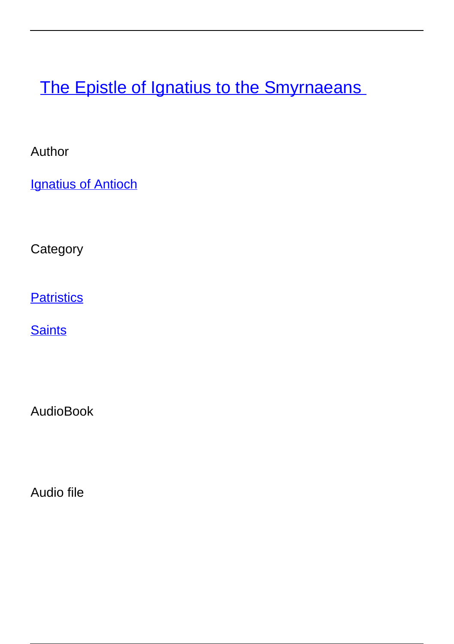**[The Epistle of Ignatius to the Smyrnaeans](/books/epistle-ignatius-smyrnaeans)** 

Author

**[Ignatius of Antioch](/author/ignatius-antioch)** 

**Category** 

**[Patristics](/category/patristics)** 

**[Saints](/category/saints)** 

AudioBook

Audio file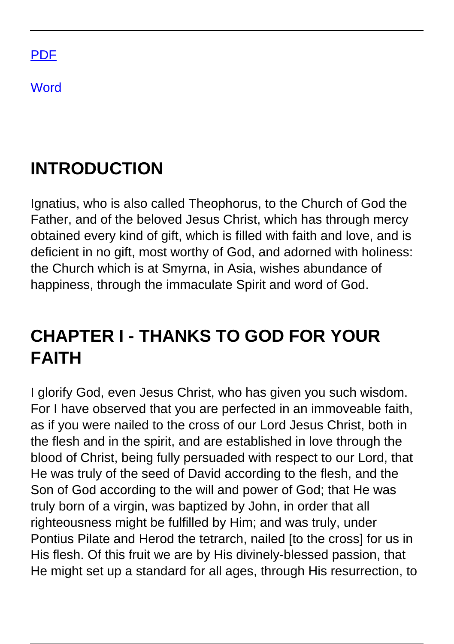

**[Word](/print/word_docx/node/651)** 

#### **INTRODUCTION**

Ignatius, who is also called Theophorus, to the Church of God the Father, and of the beloved Jesus Christ, which has through mercy obtained every kind of gift, which is filled with faith and love, and is deficient in no gift, most worthy of God, and adorned with holiness: the Church which is at Smyrna, in Asia, wishes abundance of happiness, through the immaculate Spirit and word of God.

#### **CHAPTER I - THANKS TO GOD FOR YOUR FAITH**

I glorify God, even Jesus Christ, who has given you such wisdom. For I have observed that you are perfected in an immoveable faith, as if you were nailed to the cross of our Lord Jesus Christ, both in the flesh and in the spirit, and are established in love through the blood of Christ, being fully persuaded with respect to our Lord, that He was truly of the seed of David according to the flesh, and the Son of God according to the will and power of God; that He was truly born of a virgin, was baptized by John, in order that all righteousness might be fulfilled by Him; and was truly, under Pontius Pilate and Herod the tetrarch, nailed [to the cross] for us in His flesh. Of this fruit we are by His divinely-blessed passion, that He might set up a standard for all ages, through His resurrection, to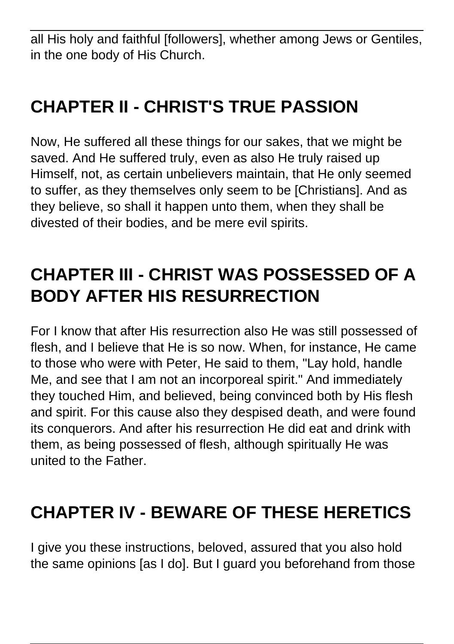all His holy and faithful [followers], whether among Jews or Gentiles, in the one body of His Church.

# **CHAPTER II - CHRIST'S TRUE PASSION**

Now, He suffered all these things for our sakes, that we might be saved. And He suffered truly, even as also He truly raised up Himself, not, as certain unbelievers maintain, that He only seemed to suffer, as they themselves only seem to be [Christians]. And as they believe, so shall it happen unto them, when they shall be divested of their bodies, and be mere evil spirits.

# **CHAPTER III - CHRIST WAS POSSESSED OF A BODY AFTER HIS RESURRECTION**

For I know that after His resurrection also He was still possessed of flesh, and I believe that He is so now. When, for instance, He came to those who were with Peter, He said to them, "Lay hold, handle Me, and see that I am not an incorporeal spirit." And immediately they touched Him, and believed, being convinced both by His flesh and spirit. For this cause also they despised death, and were found its conquerors. And after his resurrection He did eat and drink with them, as being possessed of flesh, although spiritually He was united to the Father.

#### **CHAPTER IV - BEWARE OF THESE HERETICS**

I give you these instructions, beloved, assured that you also hold the same opinions [as I do]. But I guard you beforehand from those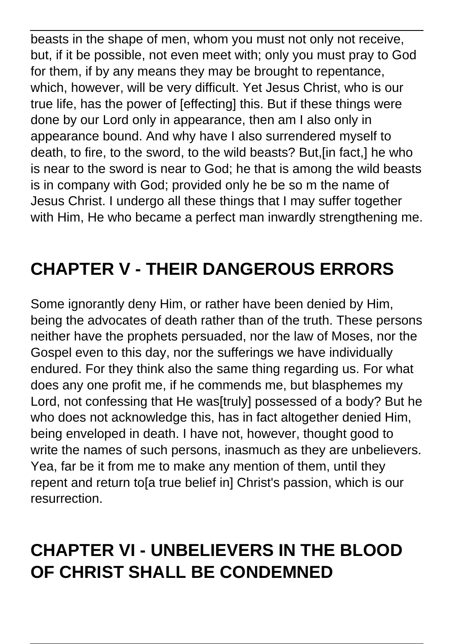beasts in the shape of men, whom you must not only not receive, but, if it be possible, not even meet with; only you must pray to God for them, if by any means they may be brought to repentance, which, however, will be very difficult. Yet Jesus Christ, who is our true life, has the power of [effecting] this. But if these things were done by our Lord only in appearance, then am I also only in appearance bound. And why have I also surrendered myself to death, to fire, to the sword, to the wild beasts? But,[in fact,] he who is near to the sword is near to God; he that is among the wild beasts is in company with God; provided only he be so m the name of Jesus Christ. I undergo all these things that I may suffer together with Him, He who became a perfect man inwardly strengthening me.

# **CHAPTER V - THEIR DANGEROUS ERRORS**

Some ignorantly deny Him, or rather have been denied by Him, being the advocates of death rather than of the truth. These persons neither have the prophets persuaded, nor the law of Moses, nor the Gospel even to this day, nor the sufferings we have individually endured. For they think also the same thing regarding us. For what does any one profit me, if he commends me, but blasphemes my Lord, not confessing that He was[truly] possessed of a body? But he who does not acknowledge this, has in fact altogether denied Him, being enveloped in death. I have not, however, thought good to write the names of such persons, inasmuch as they are unbelievers. Yea, far be it from me to make any mention of them, until they repent and return to[a true belief in] Christ's passion, which is our resurrection.

### **CHAPTER VI - UNBELIEVERS IN THE BLOOD OF CHRIST SHALL BE CONDEMNED**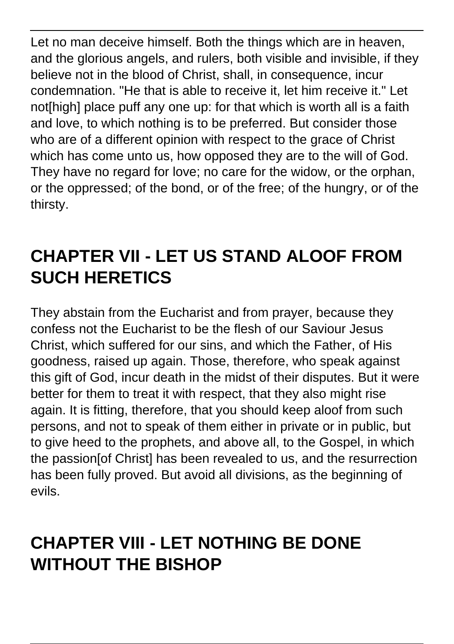Let no man deceive himself. Both the things which are in heaven, and the glorious angels, and rulers, both visible and invisible, if they believe not in the blood of Christ, shall, in consequence, incur condemnation. "He that is able to receive it, let him receive it." Let not[high] place puff any one up: for that which is worth all is a faith and love, to which nothing is to be preferred. But consider those who are of a different opinion with respect to the grace of Christ which has come unto us, how opposed they are to the will of God. They have no regard for love; no care for the widow, or the orphan, or the oppressed; of the bond, or of the free; of the hungry, or of the thirsty.

### **CHAPTER VII - LET US STAND ALOOF FROM SUCH HERETICS**

They abstain from the Eucharist and from prayer, because they confess not the Eucharist to be the flesh of our Saviour Jesus Christ, which suffered for our sins, and which the Father, of His goodness, raised up again. Those, therefore, who speak against this gift of God, incur death in the midst of their disputes. But it were better for them to treat it with respect, that they also might rise again. It is fitting, therefore, that you should keep aloof from such persons, and not to speak of them either in private or in public, but to give heed to the prophets, and above all, to the Gospel, in which the passion[of Christ] has been revealed to us, and the resurrection has been fully proved. But avoid all divisions, as the beginning of evils.

### **CHAPTER VIII - LET NOTHING BE DONE WITHOUT THE BISHOP**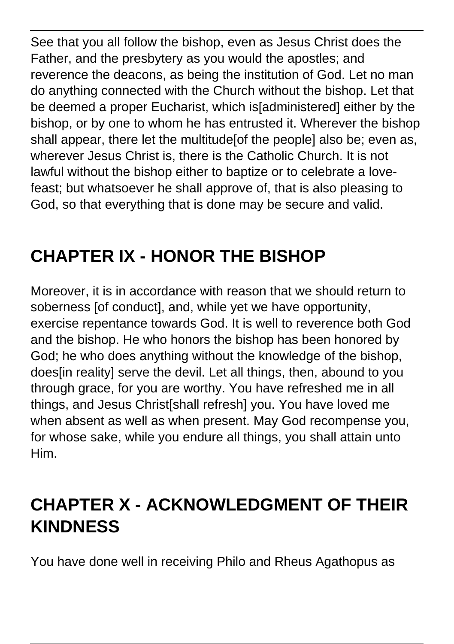See that you all follow the bishop, even as Jesus Christ does the Father, and the presbytery as you would the apostles; and reverence the deacons, as being the institution of God. Let no man do anything connected with the Church without the bishop. Let that be deemed a proper Eucharist, which is[administered] either by the bishop, or by one to whom he has entrusted it. Wherever the bishop shall appear, there let the multitude[of the people] also be; even as, wherever Jesus Christ is, there is the Catholic Church. It is not lawful without the bishop either to baptize or to celebrate a lovefeast; but whatsoever he shall approve of, that is also pleasing to God, so that everything that is done may be secure and valid.

# **CHAPTER IX - HONOR THE BISHOP**

Moreover, it is in accordance with reason that we should return to soberness [of conduct], and, while yet we have opportunity, exercise repentance towards God. It is well to reverence both God and the bishop. He who honors the bishop has been honored by God; he who does anything without the knowledge of the bishop, does in realityl serve the devil. Let all things, then, abound to you through grace, for you are worthy. You have refreshed me in all things, and Jesus Christ[shall refresh] you. You have loved me when absent as well as when present. May God recompense you, for whose sake, while you endure all things, you shall attain unto Him.

### **CHAPTER X - ACKNOWLEDGMENT OF THEIR KINDNESS**

You have done well in receiving Philo and Rheus Agathopus as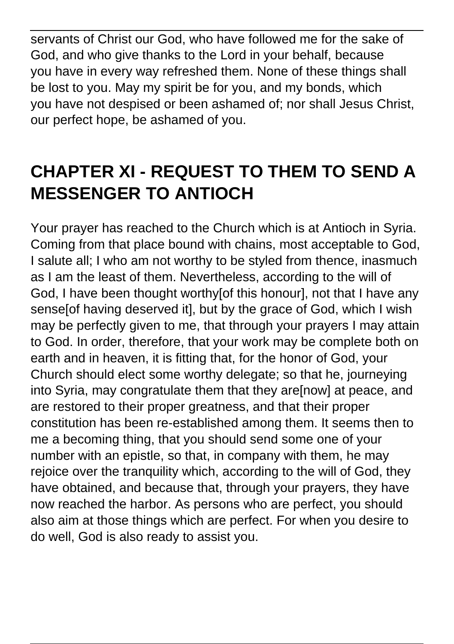servants of Christ our God, who have followed me for the sake of God, and who give thanks to the Lord in your behalf, because you have in every way refreshed them. None of these things shall be lost to you. May my spirit be for you, and my bonds, which you have not despised or been ashamed of; nor shall Jesus Christ, our perfect hope, be ashamed of you.

### **CHAPTER XI - REQUEST TO THEM TO SEND A MESSENGER TO ANTIOCH**

Your prayer has reached to the Church which is at Antioch in Syria. Coming from that place bound with chains, most acceptable to God, I salute all; I who am not worthy to be styled from thence, inasmuch as I am the least of them. Nevertheless, according to the will of God, I have been thought worthy[of this honour], not that I have any sense[of having deserved it], but by the grace of God, which I wish may be perfectly given to me, that through your prayers I may attain to God. In order, therefore, that your work may be complete both on earth and in heaven, it is fitting that, for the honor of God, your Church should elect some worthy delegate; so that he, journeying into Syria, may congratulate them that they are[now] at peace, and are restored to their proper greatness, and that their proper constitution has been re-established among them. It seems then to me a becoming thing, that you should send some one of your number with an epistle, so that, in company with them, he may rejoice over the tranquility which, according to the will of God, they have obtained, and because that, through your prayers, they have now reached the harbor. As persons who are perfect, you should also aim at those things which are perfect. For when you desire to do well, God is also ready to assist you.